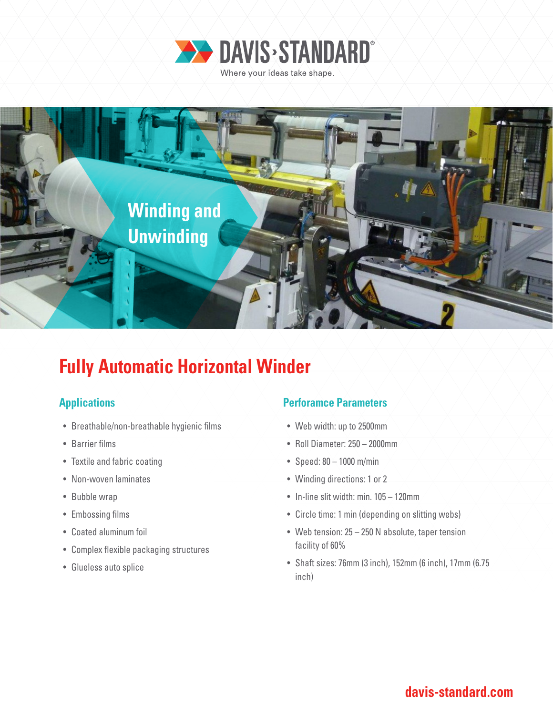



# **Fully Automatic Horizontal Winder**

- Breathable/non-breathable hygienic films
- Barrier films
- Textile and fabric coating
- Non-woven laminates
- Bubble wrap
- Embossing films
- Coated aluminum foil
- Complex flexible packaging structures
- Glueless auto splice

### **Applications Perforamce Parameters**

- Web width: up to 2500mm
- Roll Diameter: 250 2000mm
- Speed: 80 1000 m/min
- Winding directions: 1 or 2
- In-line slit width: min. 105 120mm
- Circle time: 1 min (depending on slitting webs)
- Web tension: 25 250 N absolute, taper tension facility of 60%
- Shaft sizes: 76mm (3 inch), 152mm (6 inch), 17mm (6.75 inch)

### **davis-standard.com**